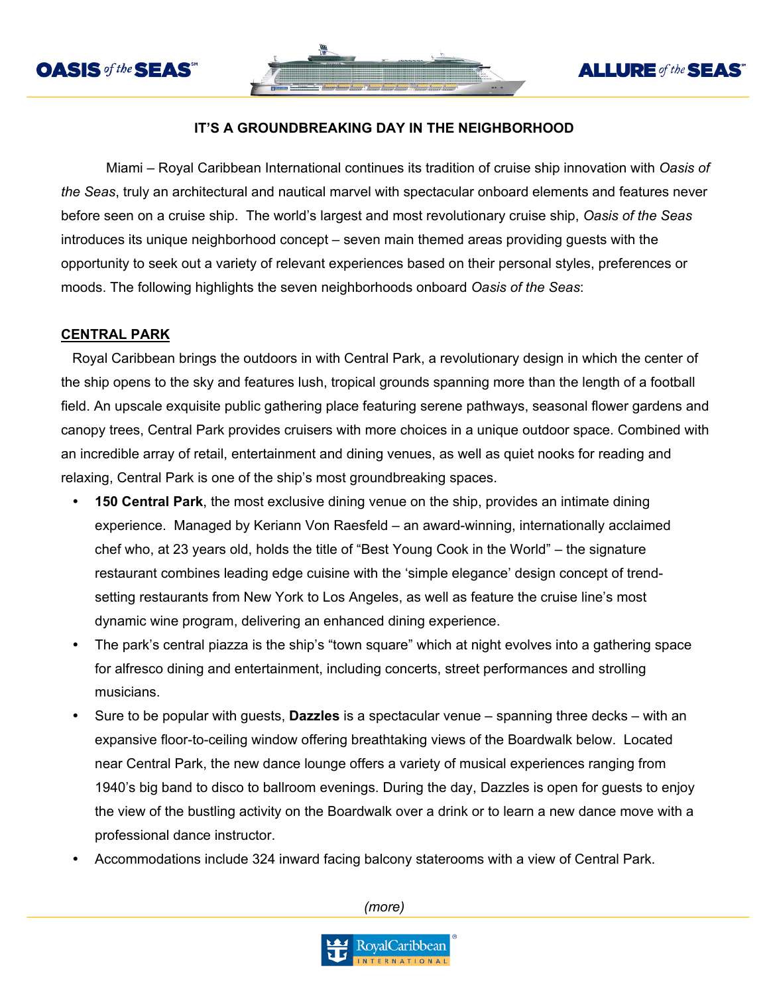

# **ALLURE** of the **SEAS**

## **IT'S A GROUNDBREAKING DAY IN THE NEIGHBORHOOD**

Miami – Royal Caribbean International continues its tradition of cruise ship innovation with *Oasis of the Seas*, truly an architectural and nautical marvel with spectacular onboard elements and features never before seen on a cruise ship. The world's largest and most revolutionary cruise ship, *Oasis of the Seas* introduces its unique neighborhood concept – seven main themed areas providing guests with the opportunity to seek out a variety of relevant experiences based on their personal styles, preferences or moods. The following highlights the seven neighborhoods onboard *Oasis of the Seas*:

#### **CENTRAL PARK**

Royal Caribbean brings the outdoors in with Central Park, a revolutionary design in which the center of the ship opens to the sky and features lush, tropical grounds spanning more than the length of a football field. An upscale exquisite public gathering place featuring serene pathways, seasonal flower gardens and canopy trees, Central Park provides cruisers with more choices in a unique outdoor space. Combined with an incredible array of retail, entertainment and dining venues, as well as quiet nooks for reading and relaxing, Central Park is one of the ship's most groundbreaking spaces.

- **150 Central Park**, the most exclusive dining venue on the ship, provides an intimate dining experience. Managed by Keriann Von Raesfeld – an award-winning, internationally acclaimed chef who, at 23 years old, holds the title of "Best Young Cook in the World" – the signature restaurant combines leading edge cuisine with the 'simple elegance' design concept of trendsetting restaurants from New York to Los Angeles, as well as feature the cruise line's most dynamic wine program, delivering an enhanced dining experience.
- The park's central piazza is the ship's "town square" which at night evolves into a gathering space for alfresco dining and entertainment, including concerts, street performances and strolling musicians.
- Sure to be popular with guests, **Dazzles** is a spectacular venue spanning three decks with an expansive floor-to-ceiling window offering breathtaking views of the Boardwalk below. Located near Central Park, the new dance lounge offers a variety of musical experiences ranging from 1940's big band to disco to ballroom evenings. During the day, Dazzles is open for guests to enjoy the view of the bustling activity on the Boardwalk over a drink or to learn a new dance move with a professional dance instructor.
- Accommodations include 324 inward facing balcony staterooms with a view of Central Park.

*(more)*

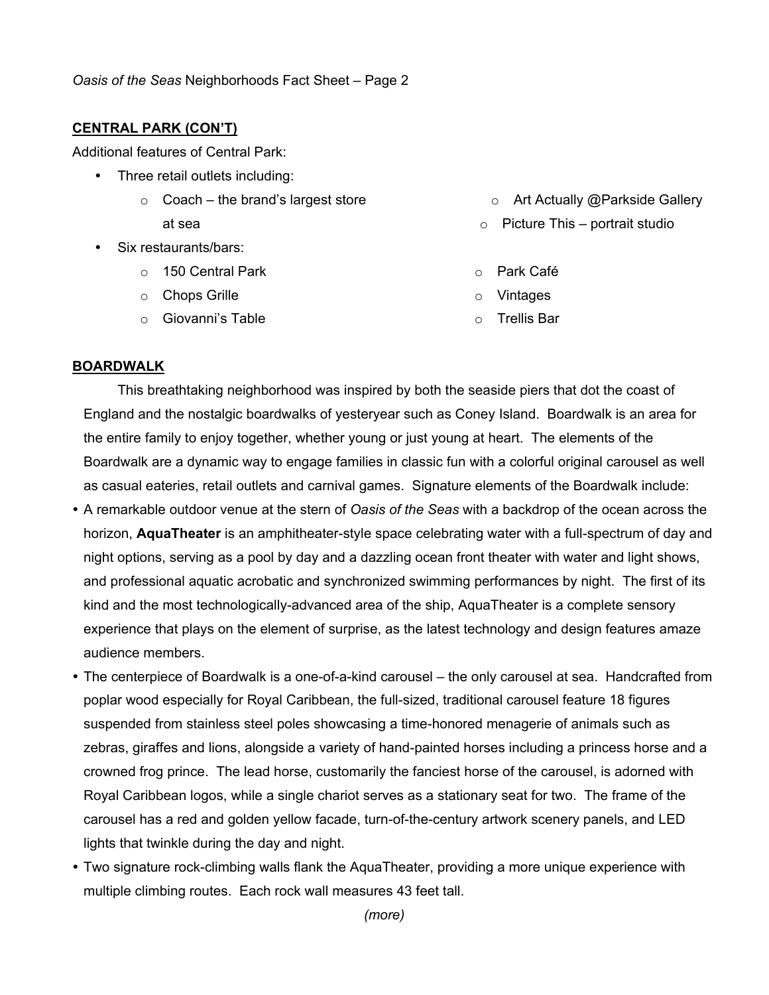### **CENTRAL PARK (CON'T)**

Additional features of Central Park:

- Three retail outlets including:
	- $\circ$  Coach the brand's largest store at sea
- Six restaurants/bars:
	- o 150 Central Park
	- o Chops Grille
	- o Giovanni's Table
- o Art Actually @Parkside Gallery
- $\circ$  Picture This portrait studio
- o Park Café
- o Vintages
- o Trellis Bar

### **BOARDWALK**

This breathtaking neighborhood was inspired by both the seaside piers that dot the coast of England and the nostalgic boardwalks of yesteryear such as Coney Island. Boardwalk is an area for the entire family to enjoy together, whether young or just young at heart. The elements of the Boardwalk are a dynamic way to engage families in classic fun with a colorful original carousel as well as casual eateries, retail outlets and carnival games. Signature elements of the Boardwalk include:

- A remarkable outdoor venue at the stern of *Oasis of the Seas* with a backdrop of the ocean across the horizon, **AquaTheater** is an amphitheater-style space celebrating water with a full-spectrum of day and night options, serving as a pool by day and a dazzling ocean front theater with water and light shows, and professional aquatic acrobatic and synchronized swimming performances by night. The first of its kind and the most technologically-advanced area of the ship, AquaTheater is a complete sensory experience that plays on the element of surprise, as the latest technology and design features amaze audience members.
- The centerpiece of Boardwalk is a one-of-a-kind carousel the only carousel at sea. Handcrafted from poplar wood especially for Royal Caribbean, the full-sized, traditional carousel feature 18 figures suspended from stainless steel poles showcasing a time-honored menagerie of animals such as zebras, giraffes and lions, alongside a variety of hand-painted horses including a princess horse and a crowned frog prince. The lead horse, customarily the fanciest horse of the carousel, is adorned with Royal Caribbean logos, while a single chariot serves as a stationary seat for two. The frame of the carousel has a red and golden yellow facade, turn-of-the-century artwork scenery panels, and LED lights that twinkle during the day and night.
- Two signature rock-climbing walls flank the AquaTheater, providing a more unique experience with multiple climbing routes. Each rock wall measures 43 feet tall.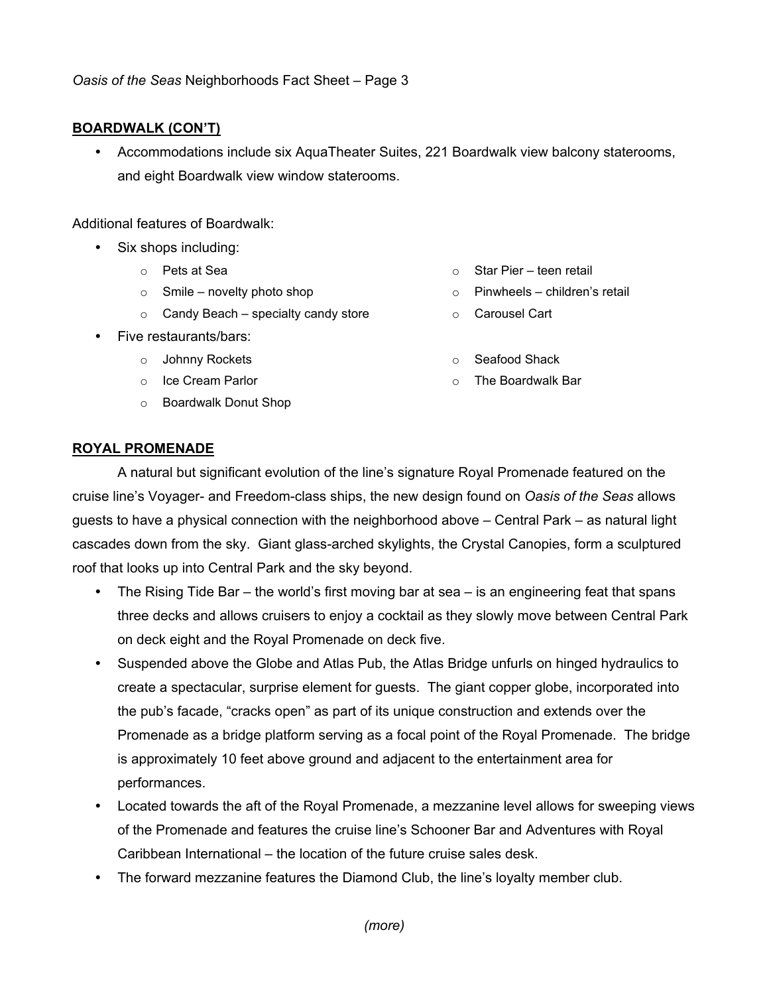and eight Boardwalk view window staterooms.

o Pets at Sea

Additional features of Boardwalk:

**BOARDWALK (CON'T)**

 $\circ$  Smile – novelty photo shop

*Oasis of the Seas* Neighborhoods Fact Sheet – Page 3

- $\circ$  Candy Beach specialty candy store
- Five restaurants/bars:
	- o Johnny Rockets
	- o Ice Cream Parlor
	- o Boardwalk Donut Shop
- $\circ$  Star Pier teen retail
- o Pinwheels children's retail
- o Carousel Cart
- o Seafood Shack
- o The Boardwalk Bar

#### **ROYAL PROMENADE**

A natural but significant evolution of the line's signature Royal Promenade featured on the cruise line's Voyager- and Freedom-class ships, the new design found on *Oasis of the Seas* allows guests to have a physical connection with the neighborhood above – Central Park – as natural light cascades down from the sky. Giant glass-arched skylights, the Crystal Canopies, form a sculptured roof that looks up into Central Park and the sky beyond.

Accommodations include six AquaTheater Suites, 221 Boardwalk view balcony staterooms,

- The Rising Tide Bar the world's first moving bar at sea is an engineering feat that spans three decks and allows cruisers to enjoy a cocktail as they slowly move between Central Park on deck eight and the Royal Promenade on deck five.
- Suspended above the Globe and Atlas Pub, the Atlas Bridge unfurls on hinged hydraulics to create a spectacular, surprise element for guests. The giant copper globe, incorporated into the pub's facade, "cracks open" as part of its unique construction and extends over the Promenade as a bridge platform serving as a focal point of the Royal Promenade. The bridge is approximately 10 feet above ground and adjacent to the entertainment area for performances.
- Located towards the aft of the Royal Promenade, a mezzanine level allows for sweeping views of the Promenade and features the cruise line's Schooner Bar and Adventures with Royal Caribbean International – the location of the future cruise sales desk.
- The forward mezzanine features the Diamond Club, the line's loyalty member club.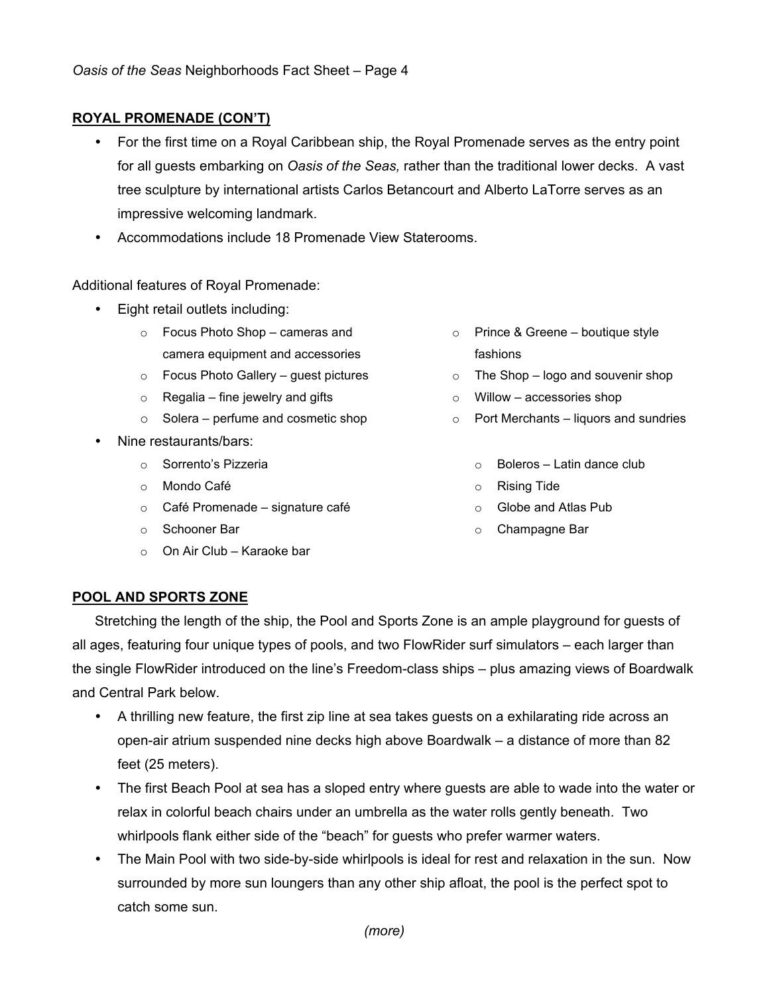## **ROYAL PROMENADE (CON'T)**

- For the first time on a Royal Caribbean ship, the Royal Promenade serves as the entry point for all guests embarking on *Oasis of the Seas,* rather than the traditional lower decks. A vast tree sculpture by international artists Carlos Betancourt and Alberto LaTorre serves as an impressive welcoming landmark.
- Accommodations include 18 Promenade View Staterooms.

Additional features of Royal Promenade:

- Eight retail outlets including:
	- o Focus Photo Shop cameras and camera equipment and accessories
	- o Focus Photo Gallery guest pictures
	- $\circ$  Regalia fine jewelry and gifts
	- o Solera perfume and cosmetic shop
- Nine restaurants/bars:
	- o Sorrento's Pizzeria
	- o Mondo Café
	- o Café Promenade signature café
	- o Schooner Bar
	- o On Air Club Karaoke bar
- o Prince & Greene boutique style fashions
- o The Shop logo and souvenir shop
- o Willow accessories shop
- o Port Merchants liquors and sundries
	- $\circ$  Boleros Latin dance club
	- o Rising Tide
	- o Globe and Atlas Pub
	- o Champagne Bar

#### **POOL AND SPORTS ZONE**

Stretching the length of the ship, the Pool and Sports Zone is an ample playground for guests of all ages, featuring four unique types of pools, and two FlowRider surf simulators – each larger than the single FlowRider introduced on the line's Freedom-class ships – plus amazing views of Boardwalk and Central Park below.

- A thrilling new feature, the first zip line at sea takes guests on a exhilarating ride across an open-air atrium suspended nine decks high above Boardwalk – a distance of more than 82 feet (25 meters).
- The first Beach Pool at sea has a sloped entry where guests are able to wade into the water or relax in colorful beach chairs under an umbrella as the water rolls gently beneath. Two whirlpools flank either side of the "beach" for guests who prefer warmer waters.
- The Main Pool with two side-by-side whirlpools is ideal for rest and relaxation in the sun. Now surrounded by more sun loungers than any other ship afloat, the pool is the perfect spot to catch some sun.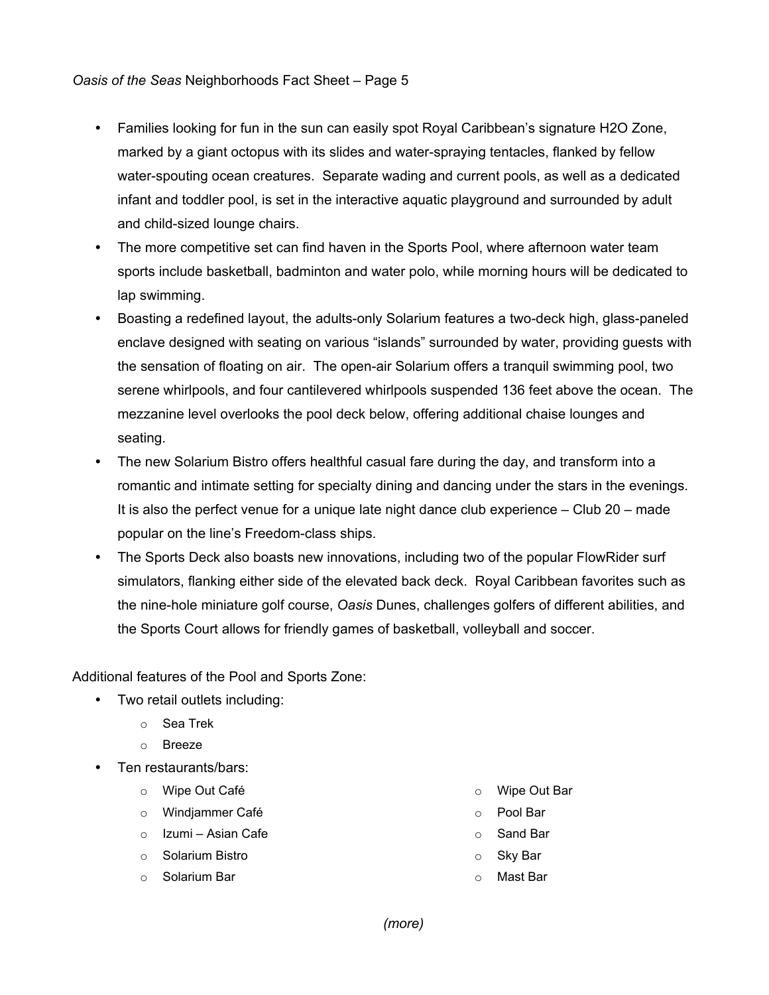## *Oasis of the Seas* Neighborhoods Fact Sheet – Page 5

- Families looking for fun in the sun can easily spot Royal Caribbean's signature H2O Zone, marked by a giant octopus with its slides and water-spraying tentacles, flanked by fellow water-spouting ocean creatures. Separate wading and current pools, as well as a dedicated infant and toddler pool, is set in the interactive aquatic playground and surrounded by adult and child-sized lounge chairs.
- The more competitive set can find haven in the Sports Pool, where afternoon water team sports include basketball, badminton and water polo, while morning hours will be dedicated to lap swimming.
- Boasting a redefined layout, the adults-only Solarium features a two-deck high, glass-paneled enclave designed with seating on various "islands" surrounded by water, providing guests with the sensation of floating on air. The open-air Solarium offers a tranquil swimming pool, two serene whirlpools, and four cantilevered whirlpools suspended 136 feet above the ocean. The mezzanine level overlooks the pool deck below, offering additional chaise lounges and seating.
- The new Solarium Bistro offers healthful casual fare during the day, and transform into a romantic and intimate setting for specialty dining and dancing under the stars in the evenings. It is also the perfect venue for a unique late night dance club experience – Club 20 – made popular on the line's Freedom-class ships.
- The Sports Deck also boasts new innovations, including two of the popular FlowRider surf simulators, flanking either side of the elevated back deck. Royal Caribbean favorites such as the nine-hole miniature golf course, *Oasis* Dunes, challenges golfers of different abilities, and the Sports Court allows for friendly games of basketball, volleyball and soccer.

Additional features of the Pool and Sports Zone:

- Two retail outlets including:
	- o Sea Trek
	- o Breeze
- Ten restaurants/bars:
	- o Wipe Out Café
	- o Windjammer Café
	- o Izumi Asian Cafe
	- o Solarium Bistro
	- o Solarium Bar
- o Wipe Out Bar
- o Pool Bar
- o Sand Bar
- o Sky Bar
- Mast Bar

*(more)*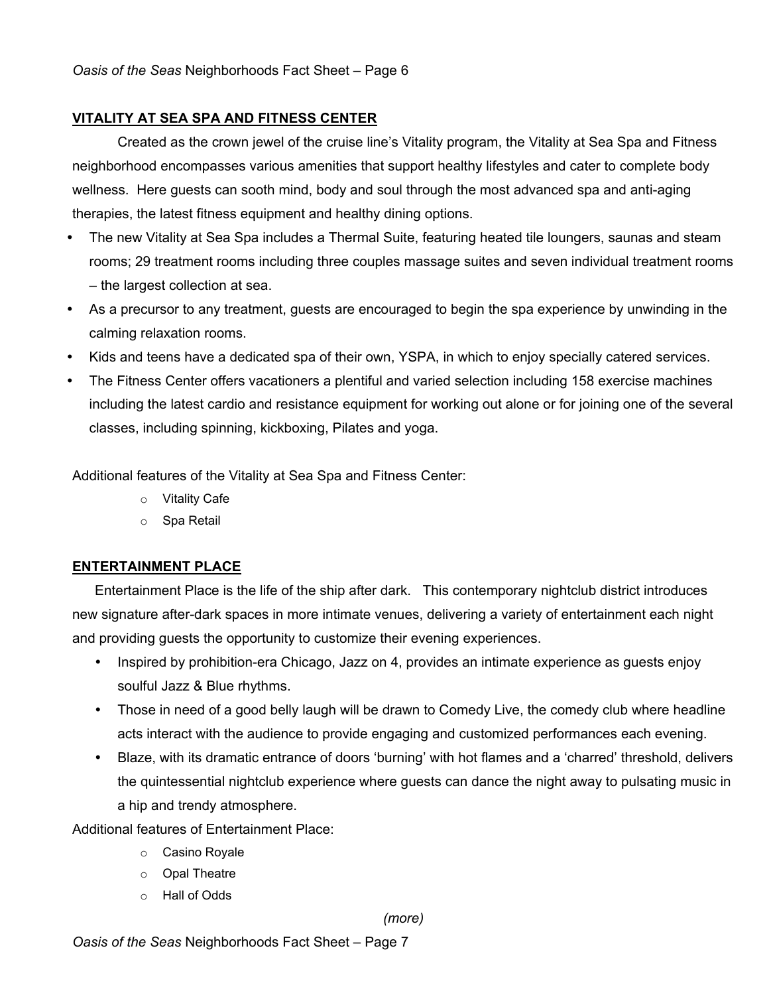# **VITALITY AT SEA SPA AND FITNESS CENTER**

Created as the crown jewel of the cruise line's Vitality program, the Vitality at Sea Spa and Fitness neighborhood encompasses various amenities that support healthy lifestyles and cater to complete body wellness. Here guests can sooth mind, body and soul through the most advanced spa and anti-aging therapies, the latest fitness equipment and healthy dining options.

- The new Vitality at Sea Spa includes a Thermal Suite, featuring heated tile loungers, saunas and steam rooms; 29 treatment rooms including three couples massage suites and seven individual treatment rooms – the largest collection at sea.
- As a precursor to any treatment, guests are encouraged to begin the spa experience by unwinding in the calming relaxation rooms.
- Kids and teens have a dedicated spa of their own, YSPA, in which to enjoy specially catered services.
- The Fitness Center offers vacationers a plentiful and varied selection including 158 exercise machines including the latest cardio and resistance equipment for working out alone or for joining one of the several classes, including spinning, kickboxing, Pilates and yoga.

Additional features of the Vitality at Sea Spa and Fitness Center:

- o Vitality Cafe
- o Spa Retail

## **ENTERTAINMENT PLACE**

Entertainment Place is the life of the ship after dark. This contemporary nightclub district introduces new signature after-dark spaces in more intimate venues, delivering a variety of entertainment each night and providing guests the opportunity to customize their evening experiences.

- Inspired by prohibition-era Chicago, Jazz on 4, provides an intimate experience as guests enjoy soulful Jazz & Blue rhythms.
- Those in need of a good belly laugh will be drawn to Comedy Live, the comedy club where headline acts interact with the audience to provide engaging and customized performances each evening.
- Blaze, with its dramatic entrance of doors 'burning' with hot flames and a 'charred' threshold, delivers the quintessential nightclub experience where guests can dance the night away to pulsating music in a hip and trendy atmosphere.

Additional features of Entertainment Place:

- o Casino Royale
- o Opal Theatre
- o Hall of Odds

*(more)*

*Oasis of the Seas* Neighborhoods Fact Sheet – Page 7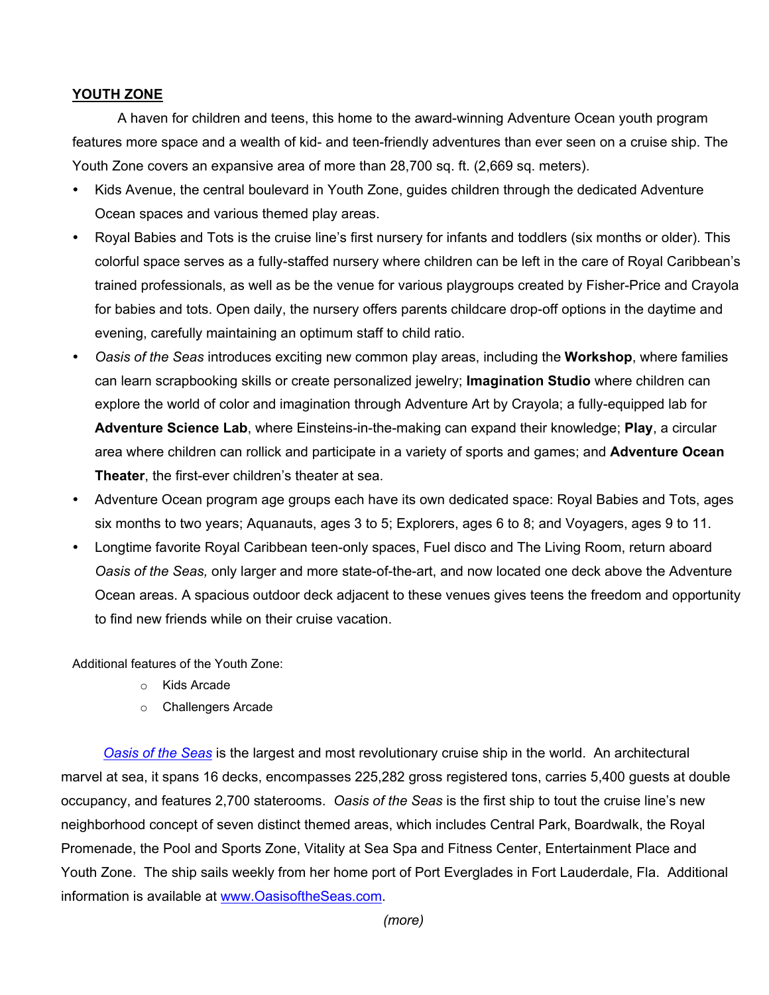## **YOUTH ZONE**

A haven for children and teens, this home to the award-winning Adventure Ocean youth program features more space and a wealth of kid- and teen-friendly adventures than ever seen on a cruise ship. The Youth Zone covers an expansive area of more than 28,700 sq. ft. (2,669 sq. meters).

- Kids Avenue, the central boulevard in Youth Zone, guides children through the dedicated Adventure Ocean spaces and various themed play areas.
- Royal Babies and Tots is the cruise line's first nursery for infants and toddlers (six months or older). This colorful space serves as a fully-staffed nursery where children can be left in the care of Royal Caribbean's trained professionals, as well as be the venue for various playgroups created by Fisher-Price and Crayola for babies and tots. Open daily, the nursery offers parents childcare drop-off options in the daytime and evening, carefully maintaining an optimum staff to child ratio.
- *Oasis of the Seas* introduces exciting new common play areas, including the **Workshop**, where families can learn scrapbooking skills or create personalized jewelry; **Imagination Studio** where children can explore the world of color and imagination through Adventure Art by Crayola; a fully-equipped lab for **Adventure Science Lab**, where Einsteins-in-the-making can expand their knowledge; **Play**, a circular area where children can rollick and participate in a variety of sports and games; and **Adventure Ocean Theater**, the first-ever children's theater at sea.
- Adventure Ocean program age groups each have its own dedicated space: Royal Babies and Tots, ages six months to two years; Aquanauts, ages 3 to 5; Explorers, ages 6 to 8; and Voyagers, ages 9 to 11.
- Longtime favorite Royal Caribbean teen-only spaces, Fuel disco and The Living Room, return aboard *Oasis of the Seas,* only larger and more state-of-the-art, and now located one deck above the Adventure Ocean areas. A spacious outdoor deck adjacent to these venues gives teens the freedom and opportunity to find new friends while on their cruise vacation.

Additional features of the Youth Zone:

- o Kids Arcade
- o Challengers Arcade

 *Oasis of the Seas* is the largest and most revolutionary cruise ship in the world. An architectural marvel at sea, it spans 16 decks, encompasses 225,282 gross registered tons, carries 5,400 guests at double occupancy, and features 2,700 staterooms. *Oasis of the Seas* is the first ship to tout the cruise line's new neighborhood concept of seven distinct themed areas, which includes Central Park, Boardwalk, the Royal Promenade, the Pool and Sports Zone, Vitality at Sea Spa and Fitness Center, Entertainment Place and Youth Zone. The ship sails weekly from her home port of Port Everglades in Fort Lauderdale, Fla. Additional information is available at www.OasisoftheSeas.com.